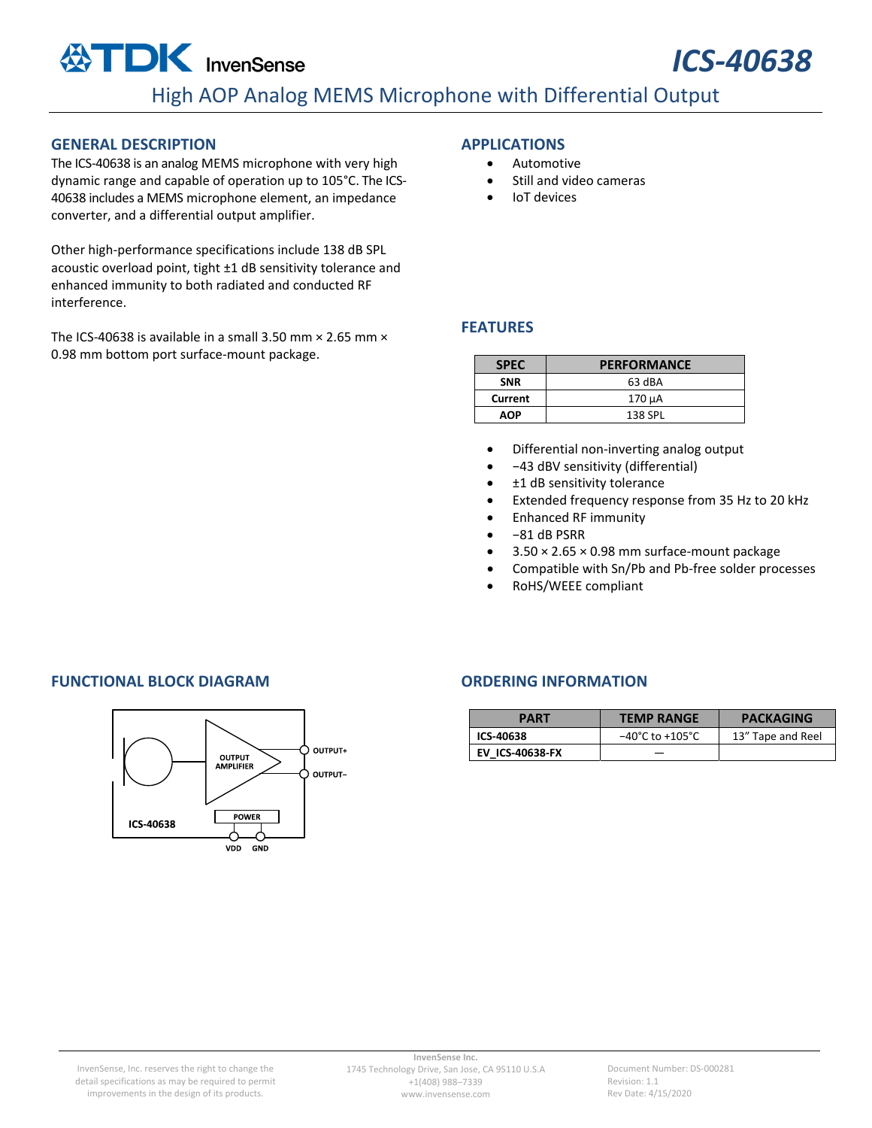### **GENERAL DESCRIPTION**

The ICS‐40638 is an analog MEMS microphone with very high dynamic range and capable of operation up to 105°C. The ICS‐ 40638 includes a MEMS microphone element, an impedance converter, and a differential output amplifier.

Other high‐performance specifications include 138 dB SPL acoustic overload point, tight ±1 dB sensitivity tolerance and enhanced immunity to both radiated and conducted RF interference.

The ICS-40638 is available in a small 3.50 mm  $\times$  2.65 mm  $\times$ 0.98 mm bottom port surface‐mount package.

#### **APPLICATIONS**

- **Automotive**
- Still and video cameras
- IoT devices

#### **FEATURES**

| <b>SPEC</b> | <b>PERFORMANCE</b> |  |
|-------------|--------------------|--|
| <b>SNR</b>  | 63 dBA             |  |
| Current     | 170 µA             |  |
| AOP         | 138 SPL            |  |

- Differential non‐inverting analog output
- −43 dBV sensitivity (differential)
- ±1 dB sensitivity tolerance
- Extended frequency response from 35 Hz to 20 kHz
- Enhanced RF immunity
- −81 dB PSRR
- $\bullet$  3.50  $\times$  2.65  $\times$  0.98 mm surface-mount package
- Compatible with Sn/Pb and Pb-free solder processes
- RoHS/WEEE compliant

### **FUNCTIONAL BLOCK DIAGRAM ORDERING INFORMATION**



| PART                   | <b>TEMP RANGE</b>                                         | <b>PACKAGING</b> |  |
|------------------------|-----------------------------------------------------------|------------------|--|
| ICS-40638              | 13" Tape and Reel<br>$-40^{\circ}$ C to +105 $^{\circ}$ C |                  |  |
| <b>EV ICS-40638-FX</b> |                                                           |                  |  |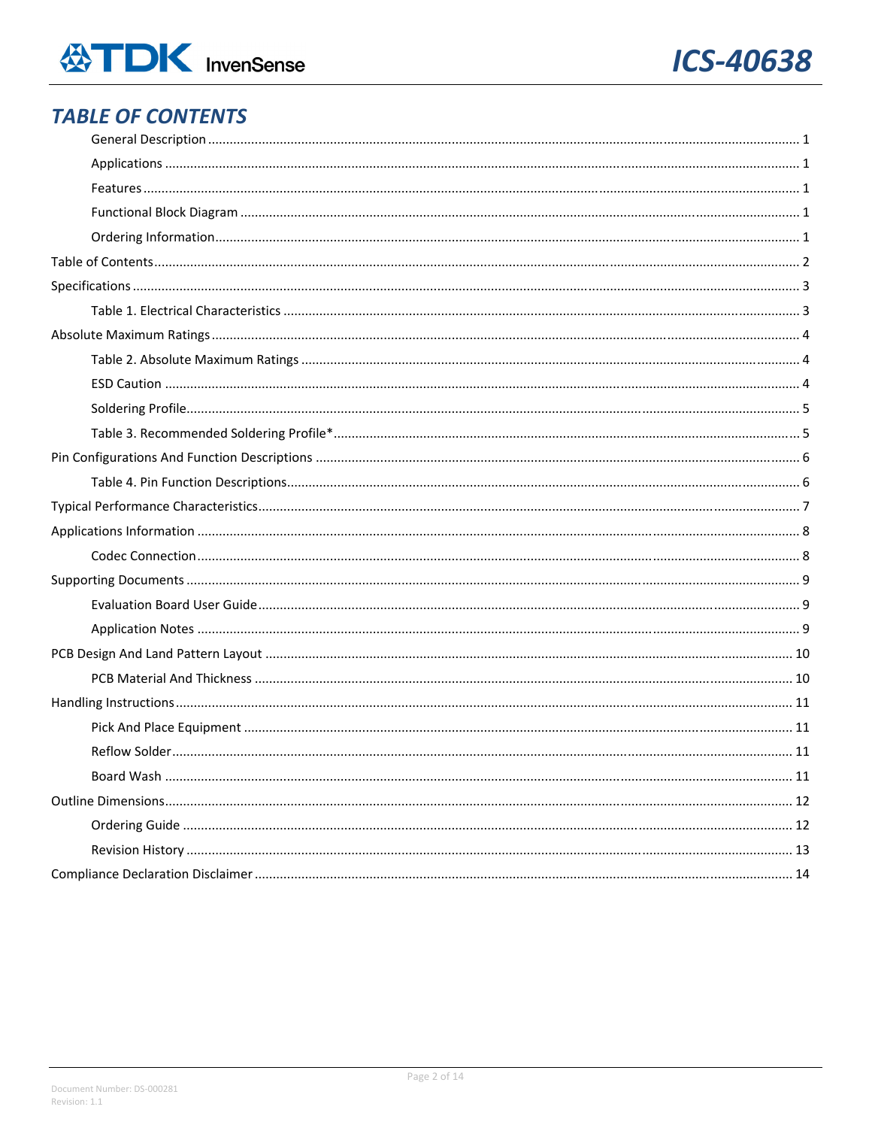

## **TABLE OF CONTENTS**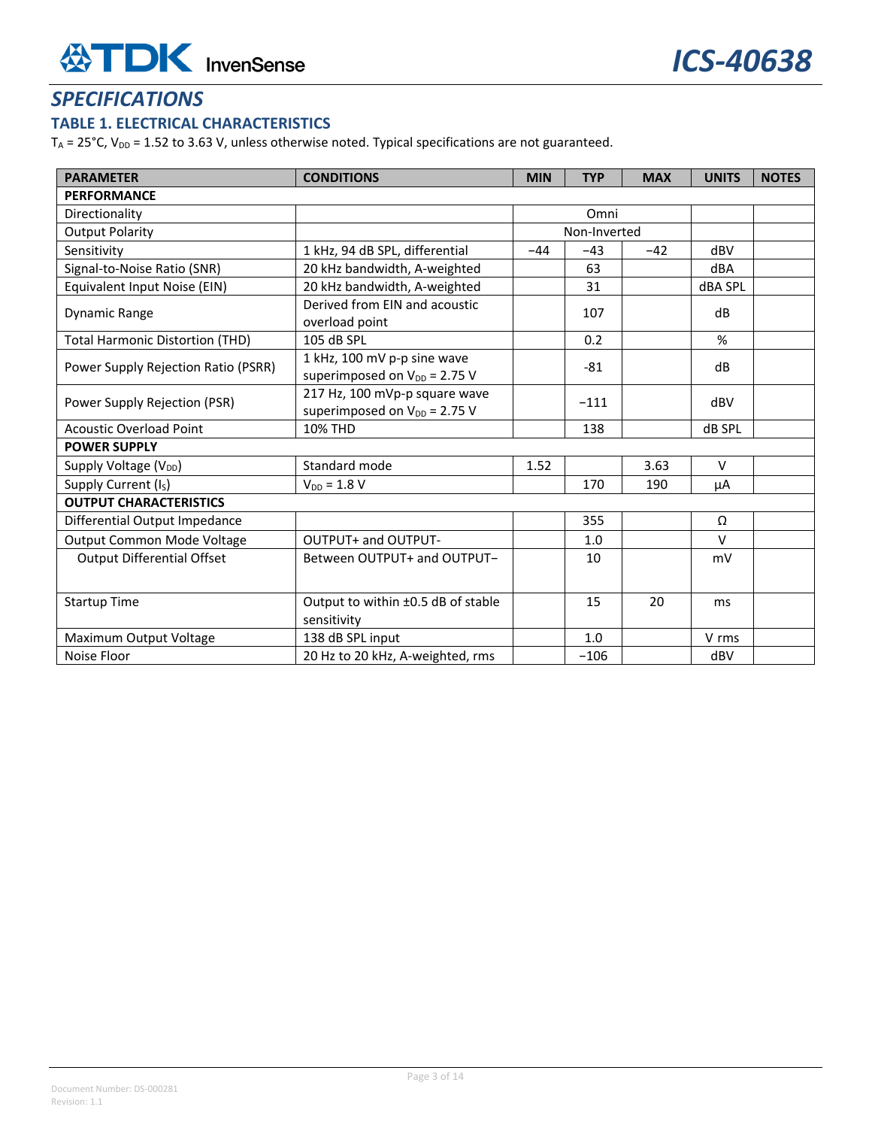## *SPECIFICATIONS*

## **TABLE 1. ELECTRICAL CHARACTERISTICS**

 $T_A$  = 25°C,  $V_{DD}$  = 1.52 to 3.63 V, unless otherwise noted. Typical specifications are not guaranteed.

| <b>PARAMETER</b>                       | <b>CONDITIONS</b>                                                  | <b>MIN</b> | <b>TYP</b>   | <b>MAX</b> | <b>UNITS</b>   | <b>NOTES</b> |
|----------------------------------------|--------------------------------------------------------------------|------------|--------------|------------|----------------|--------------|
| <b>PERFORMANCE</b>                     |                                                                    |            |              |            |                |              |
| Directionality                         |                                                                    |            | Omni         |            |                |              |
| <b>Output Polarity</b>                 |                                                                    |            | Non-Inverted |            |                |              |
| Sensitivity                            | 1 kHz, 94 dB SPL, differential                                     | $-44$      | $-43$        | $-42$      | dBV            |              |
| Signal-to-Noise Ratio (SNR)            | 20 kHz bandwidth, A-weighted                                       |            | 63           |            | dBA            |              |
| Equivalent Input Noise (EIN)           | 20 kHz bandwidth, A-weighted                                       |            | 31           |            | <b>dBA SPL</b> |              |
| <b>Dynamic Range</b>                   | Derived from EIN and acoustic<br>107                               |            |              |            | dB             |              |
| <b>Total Harmonic Distortion (THD)</b> | overload point<br>105 dB SPL                                       |            | 0.2          |            | $\%$           |              |
| Power Supply Rejection Ratio (PSRR)    | 1 kHz, 100 mV p-p sine wave<br>superimposed on $V_{DD}$ = 2.75 V   |            | $-81$        |            | dB             |              |
| Power Supply Rejection (PSR)           | 217 Hz, 100 mVp-p square wave<br>superimposed on $V_{DD}$ = 2.75 V | $-111$     |              |            | dBV            |              |
| <b>Acoustic Overload Point</b>         | <b>10% THD</b>                                                     |            | 138          |            | dB SPL         |              |
| <b>POWER SUPPLY</b>                    |                                                                    |            |              |            |                |              |
| Supply Voltage (V <sub>DD</sub> )      | Standard mode                                                      | 1.52       |              | 3.63       | $\vee$         |              |
| Supply Current (I <sub>S</sub> )       | $V_{DD} = 1.8 V$                                                   |            | 170          | 190        | μA             |              |
| <b>OUTPUT CHARACTERISTICS</b>          |                                                                    |            |              |            |                |              |
| Differential Output Impedance          |                                                                    |            | 355          |            | Ω              |              |
| Output Common Mode Voltage             | OUTPUT+ and OUTPUT-                                                |            | 1.0          |            | $\vee$         |              |
| <b>Output Differential Offset</b>      | Between OUTPUT+ and OUTPUT-                                        |            | 10           |            | mV             |              |
| <b>Startup Time</b>                    | Output to within ±0.5 dB of stable<br>sensitivity                  |            | 15           | 20         | ms.            |              |
| Maximum Output Voltage                 | 138 dB SPL input                                                   |            | 1.0          |            | V rms          |              |
| Noise Floor                            | 20 Hz to 20 kHz, A-weighted, rms                                   |            | $-106$       |            | dBV            |              |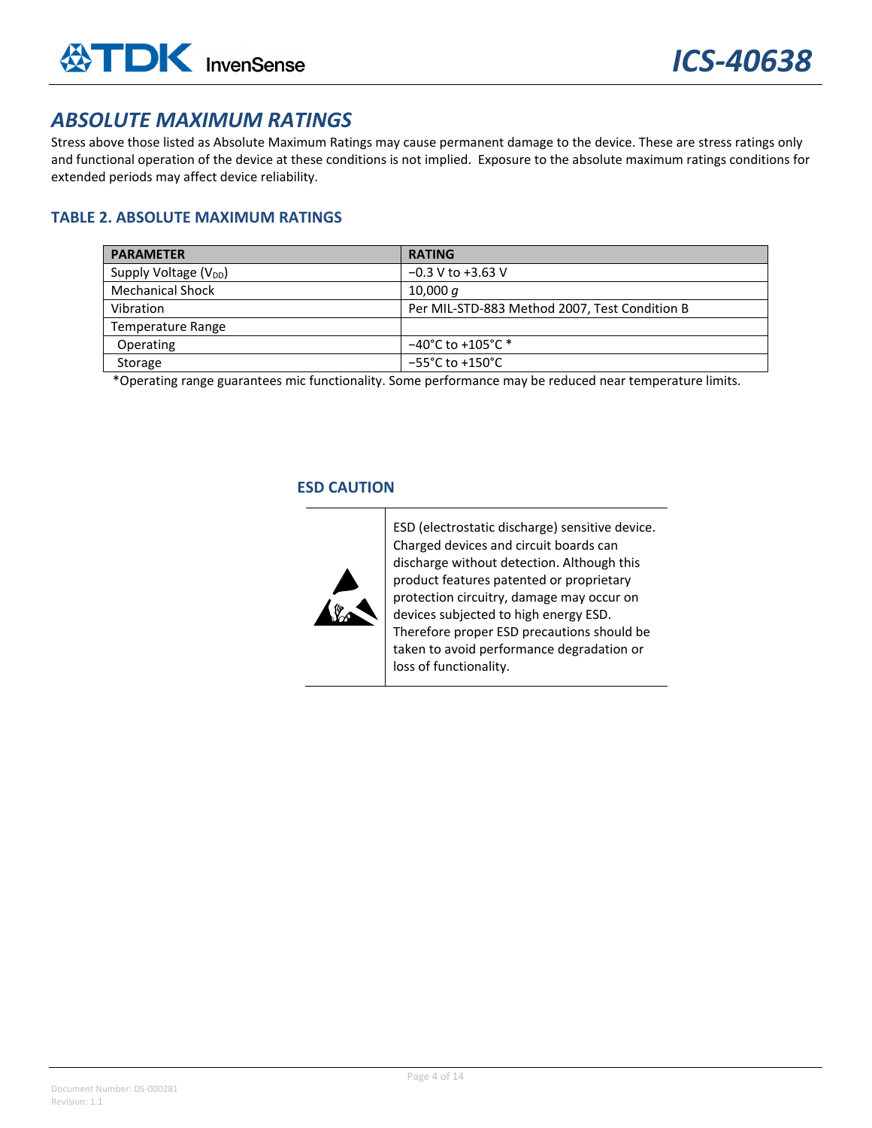## *ABSOLUTE MAXIMUM RATINGS*

Stress above those listed as Absolute Maximum Ratings may cause permanent damage to the device. These are stress ratings only and functional operation of the device at these conditions is not implied. Exposure to the absolute maximum ratings conditions for extended periods may affect device reliability.

## **TABLE 2. ABSOLUTE MAXIMUM RATINGS**

| <b>PARAMETER</b>                  | <b>RATING</b>                                 |
|-----------------------------------|-----------------------------------------------|
| Supply Voltage (V <sub>DD</sub> ) | $-0.3$ V to $+3.63$ V                         |
| <b>Mechanical Shock</b>           | 10,000 $q$                                    |
| Vibration                         | Per MIL-STD-883 Method 2007, Test Condition B |
| Temperature Range                 |                                               |
| Operating                         | $-40^{\circ}$ C to +105 $^{\circ}$ C *        |
| Storage                           | $-55^{\circ}$ C to +150 $^{\circ}$ C          |

\*Operating range guarantees mic functionality. Some performance may be reduced near temperature limits.

### **ESD CAUTION**



ESD (electrostatic discharge) sensitive device. Charged devices and circuit boards can discharge without detection. Although this product features patented or proprietary protection circuitry, damage may occur on devices subjected to high energy ESD. Therefore proper ESD precautions should be taken to avoid performance degradation or loss of functionality.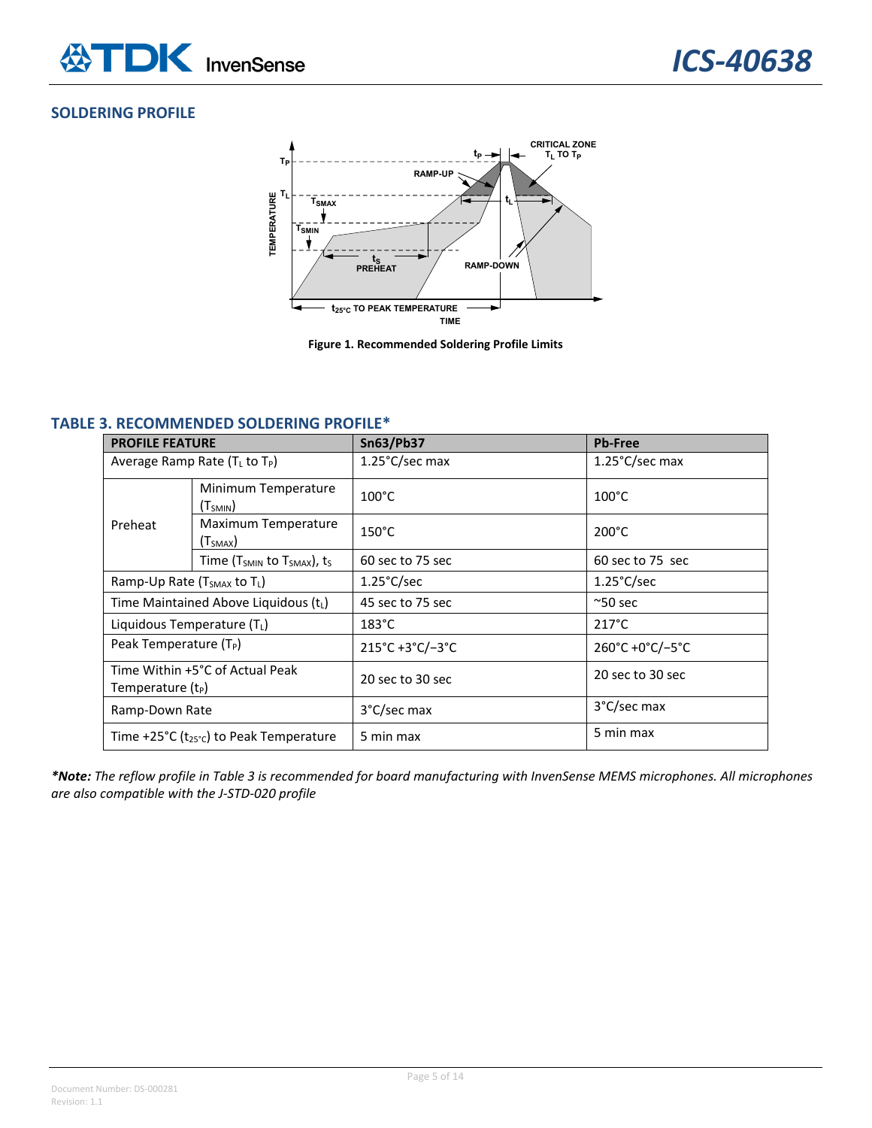### **SOLDERING PROFILE**



**Figure 1. Recommended Soldering Profile Limits**

## **TABLE 3. RECOMMENDED SOLDERING PROFILE\***

| <b>PROFILE FEATURE</b>                                           |                                             | <b>Sn63/Pb37</b>     | <b>Pb-Free</b>       |  |
|------------------------------------------------------------------|---------------------------------------------|----------------------|----------------------|--|
| Average Ramp Rate $(T_L$ to $T_P$ )                              |                                             | 1.25°C/sec max       | 1.25°C/sec max       |  |
|                                                                  | Minimum Temperature<br>(T <sub>SMIN</sub> ) | $100^{\circ}$ C      | $100^{\circ}$ C      |  |
| Preheat                                                          | Maximum Temperature<br>(T <sub>SMAX</sub> ) | $150^{\circ}$ C      | $200^{\circ}$ C      |  |
|                                                                  | Time ( $T_{SMIN}$ to $T_{SMAX}$ ), ts       | 60 sec to 75 sec     | 60 sec to 75 sec     |  |
| Ramp-Up Rate (T <sub>SMAX</sub> to T <sub>L</sub> )              |                                             | $1.25^{\circ}$ C/sec | $1.25^{\circ}$ C/sec |  |
| Time Maintained Above Liquidous (tL)                             |                                             | 45 sec to 75 sec     | $^{\sim}50$ sec      |  |
| Liquidous Temperature (TL)                                       |                                             | $183^{\circ}$ C      | $217^{\circ}$ C      |  |
| Peak Temperature $(T_P)$                                         |                                             | 215°C+3°C/-3°C       | 260°C +0°C/-5°C      |  |
| Time Within +5°C of Actual Peak<br>Temperature (t <sub>P</sub> ) |                                             | 20 sec to 30 sec     | 20 sec to 30 sec     |  |
| Ramp-Down Rate                                                   |                                             | 3°C/sec max          | 3°C/sec max          |  |
| Time +25°C ( $t_{25}$ °c) to Peak Temperature                    |                                             | 5 min max            | 5 min max            |  |

\*Note: The reflow profile in Table 3 is recommended for board manufacturing with InvenSense MEMS microphones. All microphones *are also compatible with the J‐STD‐020 profile*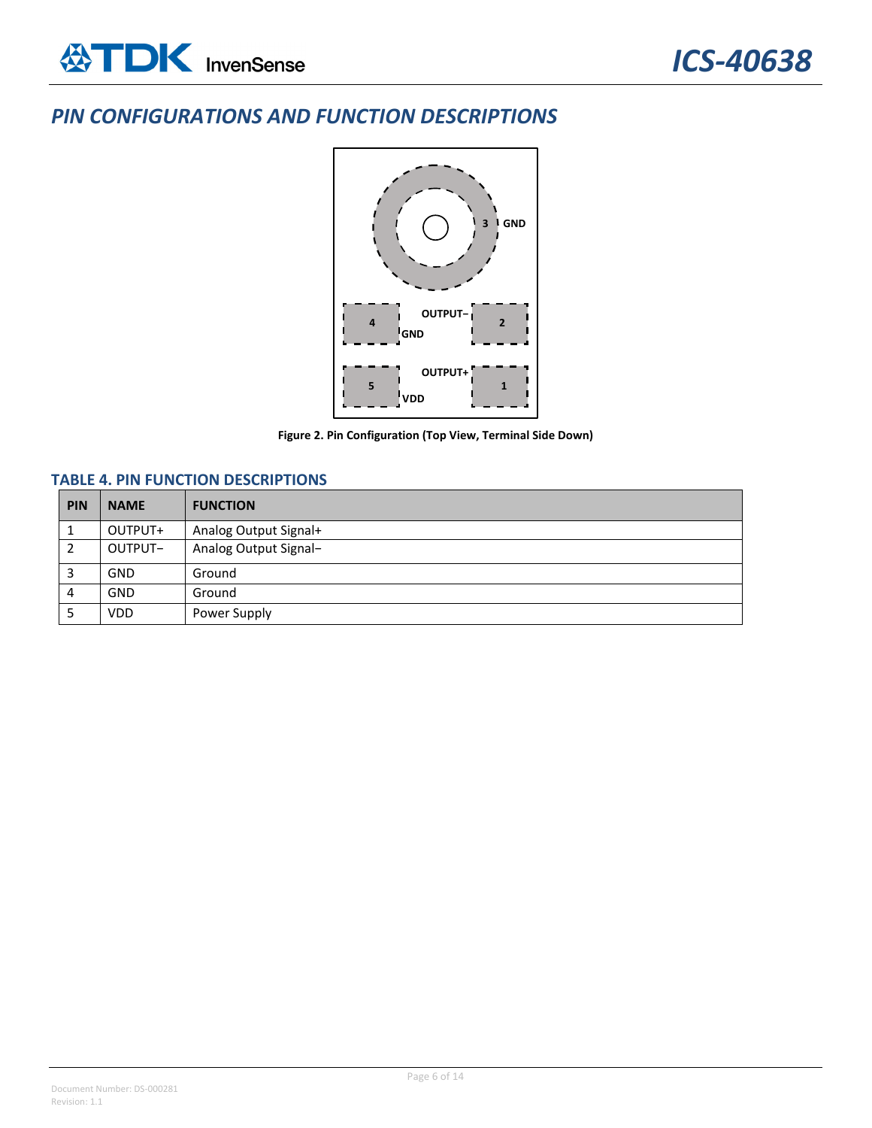## *PIN CONFIGURATIONS AND FUNCTION DESCRIPTIONS*



**Figure 2. Pin Configuration (Top View, Terminal Side Down)**

## **TABLE 4. PIN FUNCTION DESCRIPTIONS**

| <b>PIN</b> | <b>NAME</b> | <b>FUNCTION</b>       |
|------------|-------------|-----------------------|
|            | OUTPUT+     | Analog Output Signal+ |
|            | OUTPUT-     | Analog Output Signal- |
|            | <b>GND</b>  | Ground                |
| 4          | <b>GND</b>  | Ground                |
|            | <b>VDD</b>  | Power Supply          |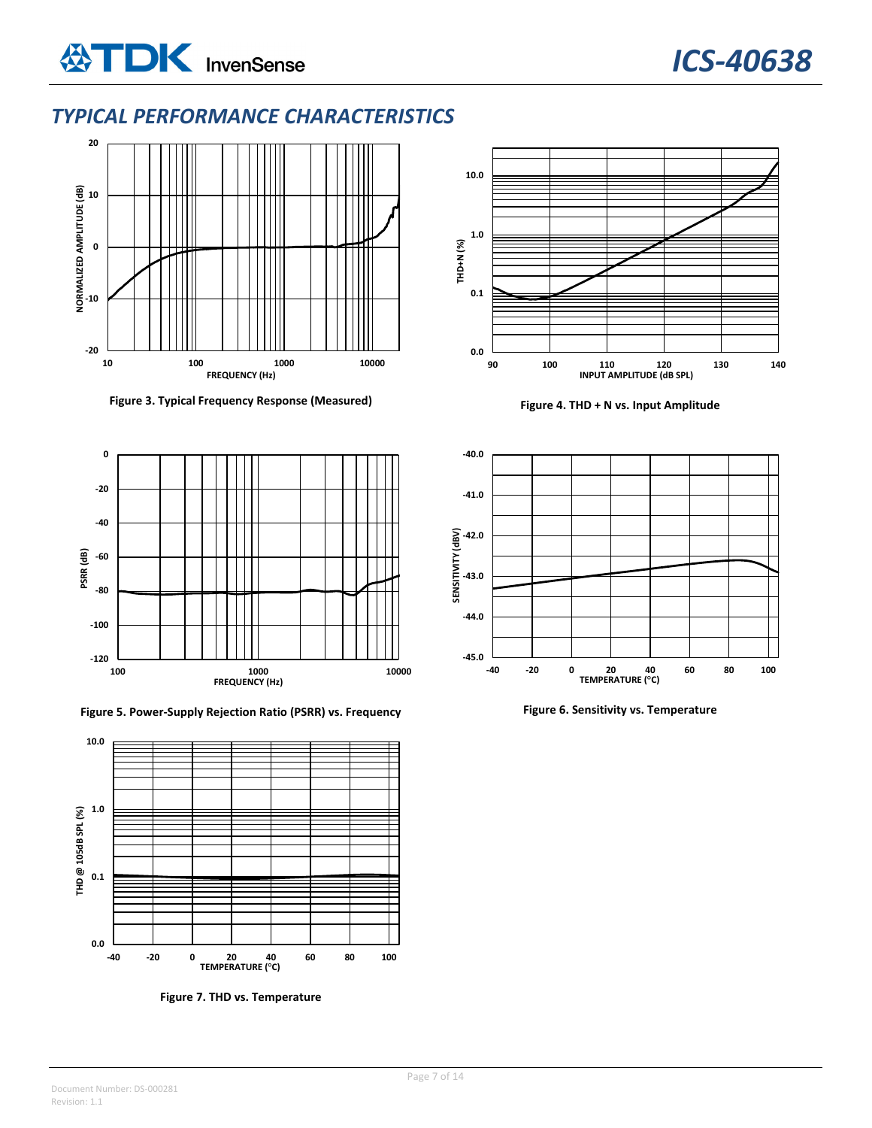## *TYPICAL PERFORMANCE CHARACTERISTICS*



**Figure 3. Typical Frequency Response (Measured) Figure 4. THD + N vs. Input Amplitude**







**Figure 7. THD vs. Temperature**



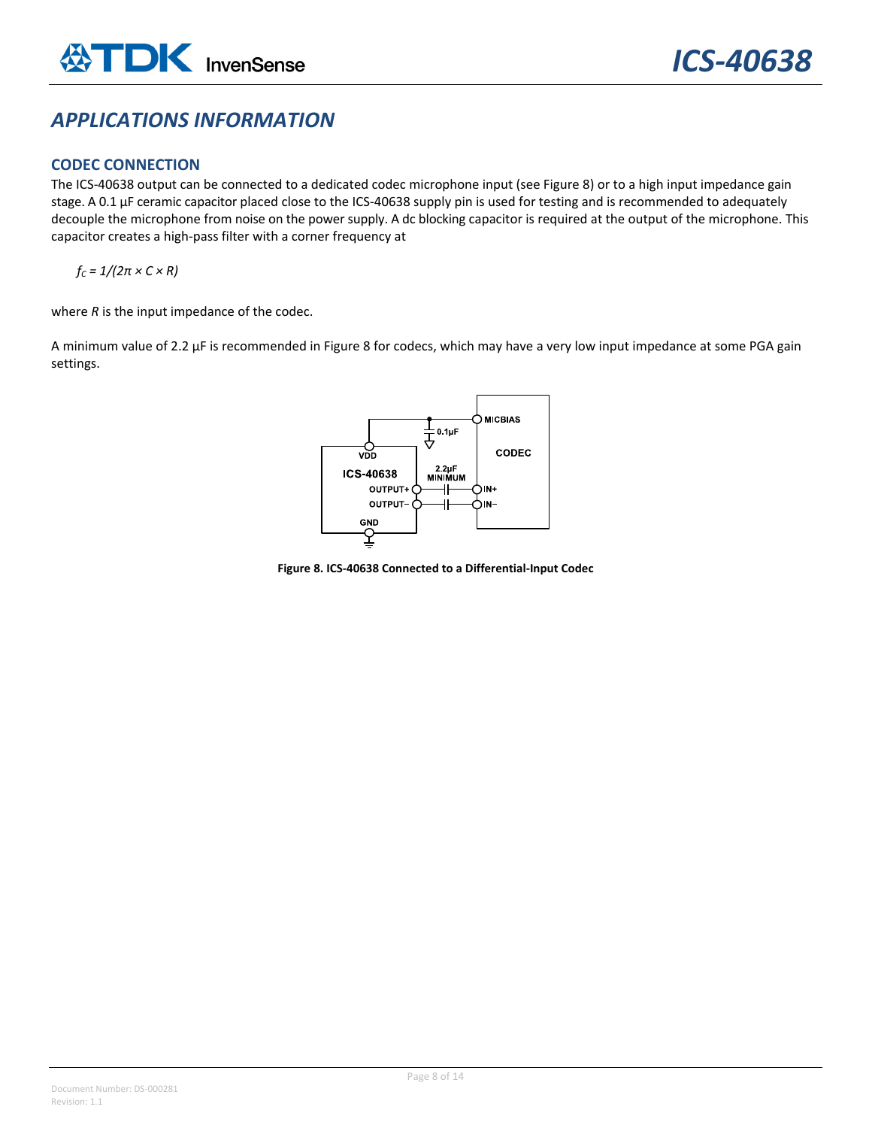## *APPLICATIONS INFORMATION*

### **CODEC CONNECTION**

The ICS-40638 output can be connected to a dedicated codec microphone input (see Figure 8) or to a high input impedance gain stage. A 0.1 µF ceramic capacitor placed close to the ICS‐40638 supply pin is used for testing and is recommended to adequately decouple the microphone from noise on the power supply. A dc blocking capacitor is required at the output of the microphone. This capacitor creates a high‐pass filter with a corner frequency at

 $f_c = 1/(2\pi \times C \times R)$ 

where *R* is the input impedance of the codec.

A minimum value of 2.2 μF is recommended in Figure 8 for codecs, which may have a very low input impedance at some PGA gain settings.



**Figure 8. ICS‐40638 Connected to a Differential‐Input Codec**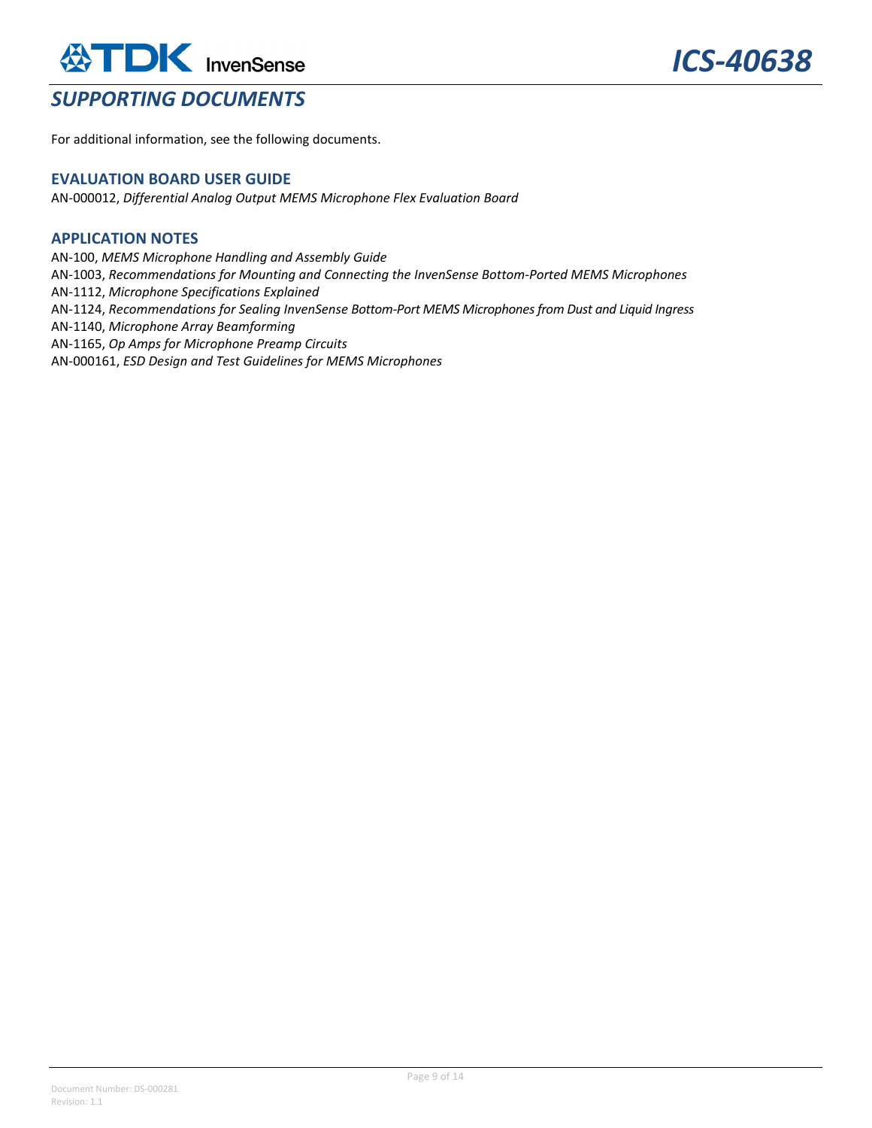## **ATDK** InvenSense *SUPPORTING DOCUMENTS*

For additional information, see the following documents.

#### **EVALUATION BOARD USER GUIDE**

AN‐000012, *Differential Analog Output MEMS Microphone Flex Evaluation Board*

### **APPLICATION NOTES**

AN‐100, *MEMS Microphone Handling and Assembly Guide* AN‐1003, *Recommendations for Mounting and Connecting the InvenSense Bottom‐Ported MEMS Microphones* AN‐1112, *Microphone Specifications Explained* AN‐1124, *Recommendations for Sealing InvenSense Bottom‐Port MEMS Microphonesfrom Dust and Liquid Ingress* AN‐1140, *Microphone Array Beamforming* AN‐1165, *Op Amps for Microphone Preamp Circuits* AN‐000161, *ESD Design and Test Guidelines for MEMS Microphones*

Document Number: DS‐000281 Revision: 1.1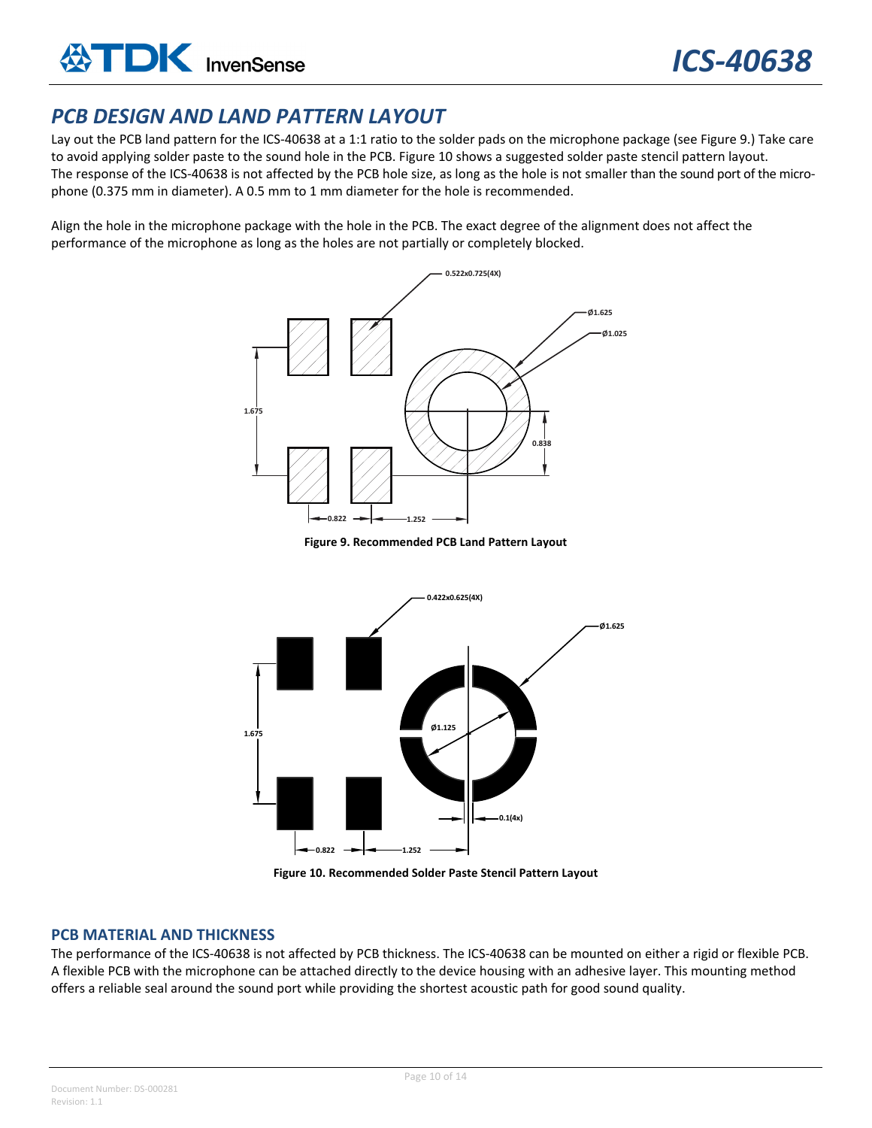## *PCB DESIGN AND LAND PATTERN LAYOUT*

Lay out the PCB land pattern for the ICS-40638 at a 1:1 ratio to the solder pads on the microphone package (see Figure 9.) Take care to avoid applying solder paste to the sound hole in the PCB. Figure 10 shows a suggested solder paste stencil pattern layout. The response of the ICS-40638 is not affected by the PCB hole size, as long as the hole is not smaller than the sound port of the microphone (0.375 mm in diameter). A 0.5 mm to 1 mm diameter for the hole is recommended.

Align the hole in the microphone package with the hole in the PCB. The exact degree of the alignment does not affect the performance of the microphone as long as the holes are not partially or completely blocked.



**Figure 9. Recommended PCB Land Pattern Layout**



**Figure 10. Recommended Solder Paste Stencil Pattern Layout**

### **PCB MATERIAL AND THICKNESS**

The performance of the ICS-40638 is not affected by PCB thickness. The ICS-40638 can be mounted on either a rigid or flexible PCB. A flexible PCB with the microphone can be attached directly to the device housing with an adhesive layer. This mounting method offers a reliable seal around the sound port while providing the shortest acoustic path for good sound quality.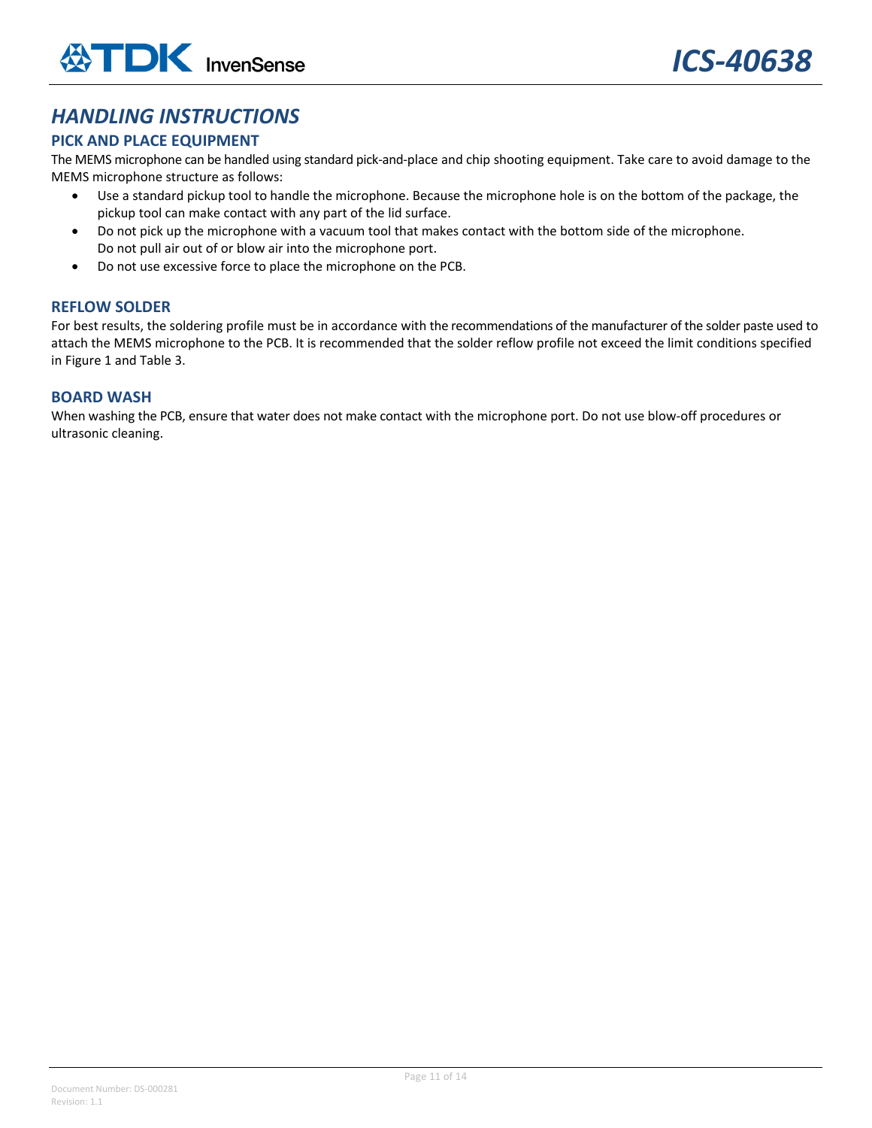## *HANDLING INSTRUCTIONS*

## **PICK AND PLACE EQUIPMENT**

The MEMS microphone can be handled using standard pick‐and‐place and chip shooting equipment. Take care to avoid damage to the MEMS microphone structure as follows:

- Use a standard pickup tool to handle the microphone. Because the microphone hole is on the bottom of the package, the pickup tool can make contact with any part of the lid surface.
- Do not pick up the microphone with a vacuum tool that makes contact with the bottom side of the microphone. Do not pull air out of or blow air into the microphone port.
- Do not use excessive force to place the microphone on the PCB.

#### **REFLOW SOLDER**

For best results, the soldering profile must be in accordance with the recommendations of the manufacturer of the solder paste used to attach the MEMS microphone to the PCB. It is recommended that the solder reflow profile not exceed the limit conditions specified in Figure 1 and Table 3.

#### **BOARD WASH**

When washing the PCB, ensure that water does not make contact with the microphone port. Do not use blow‐off procedures or ultrasonic cleaning.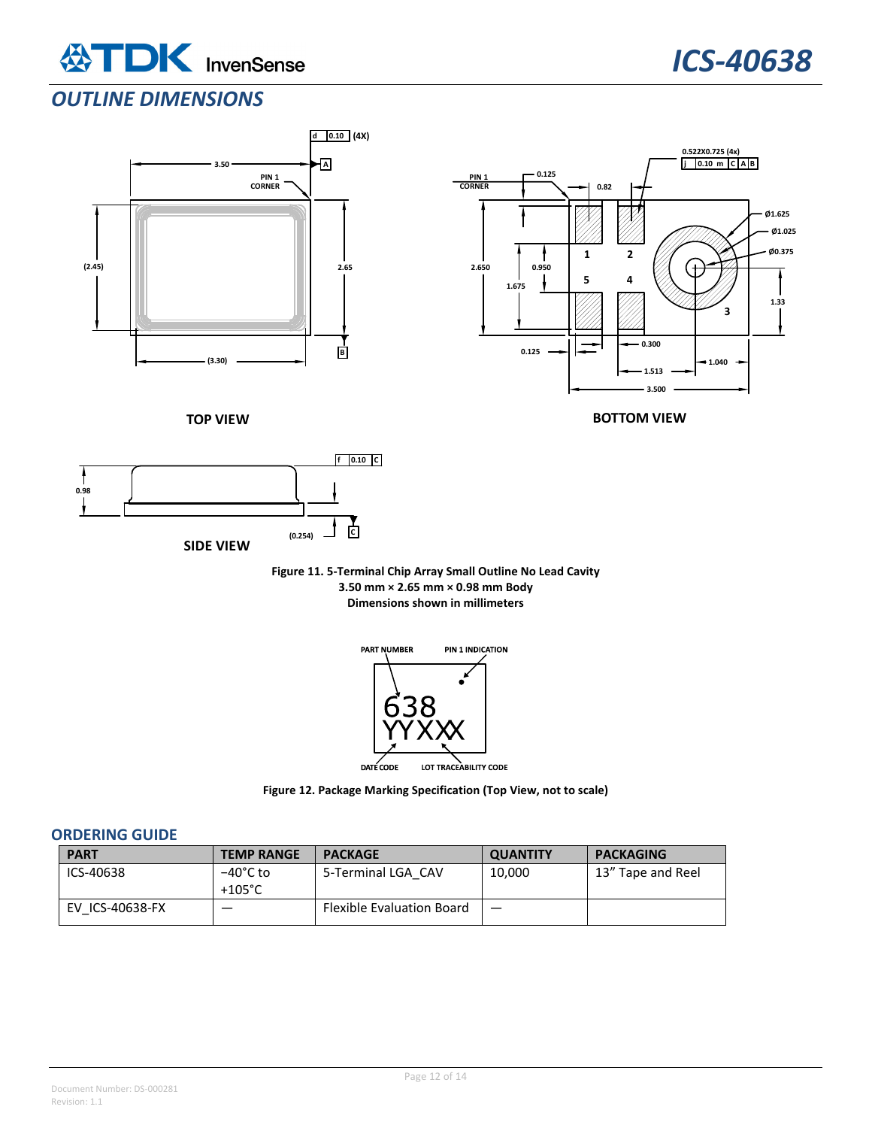



## *OUTLINE DIMENSIONS*





**BOTTOM VIEW**

**TOP VIEW**



**Figure 11. 5‐Terminal Chip Array Small Outline No Lead Cavity 3.50 mm × 2.65 mm × 0.98 mm Body Dimensions shown in millimeters**



**Figure 12. Package Marking Specification (Top View, not to scale)**

#### **ORDERING GUIDE**

| <b>PART</b>     | <b>TEMP RANGE</b> | <b>PACKAGE</b>                   | <b>QUANTITY</b> | <b>PACKAGING</b>  |
|-----------------|-------------------|----------------------------------|-----------------|-------------------|
| ICS-40638       | −40°C to          | 5-Terminal LGA CAV               | 10.000          | 13" Tape and Reel |
|                 | $+105^{\circ}$ C  |                                  |                 |                   |
| EV ICS-40638-FX |                   | <b>Flexible Evaluation Board</b> |                 |                   |
|                 |                   |                                  |                 |                   |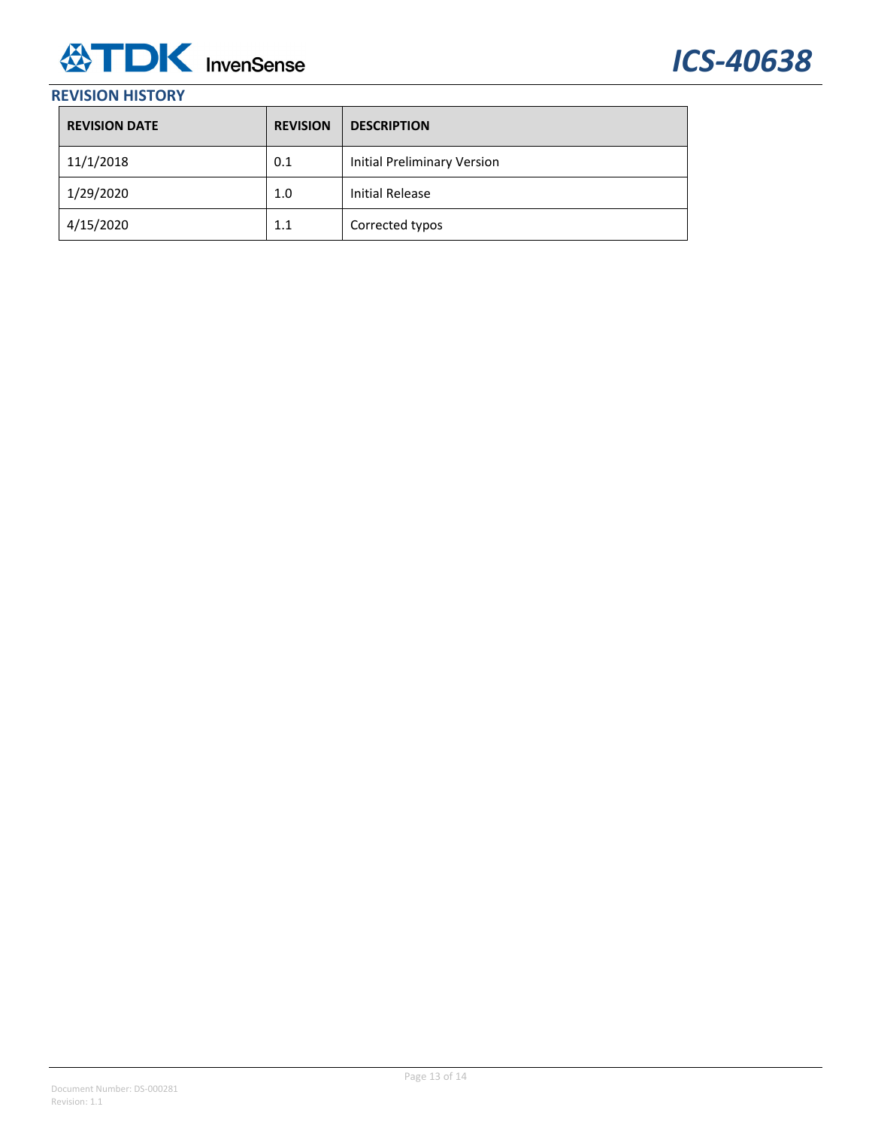

## **REVISION HISTORY**

| <b>REVISION DATE</b> | <b>REVISION</b> | <b>DESCRIPTION</b>          |
|----------------------|-----------------|-----------------------------|
| 11/1/2018            | 0.1             | Initial Preliminary Version |
| 1/29/2020            | 1.0             | Initial Release             |
| 4/15/2020            | 1.1             | Corrected typos             |